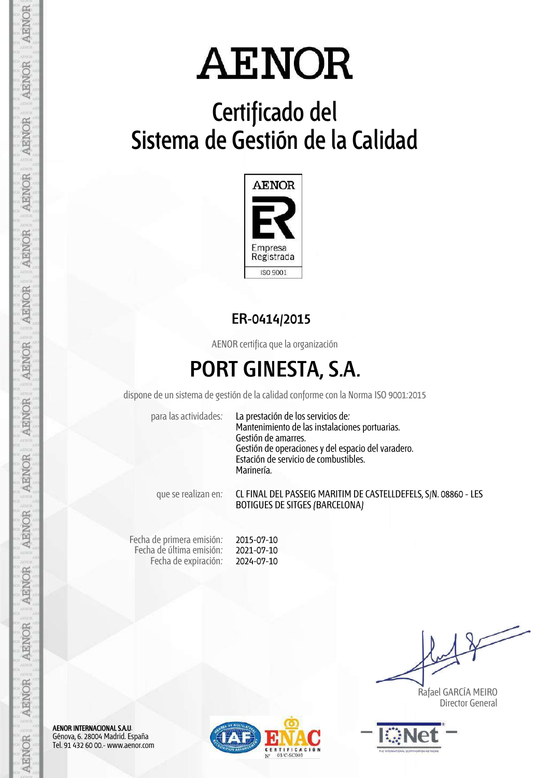# Certificado del Sistema de Gestión de la Calidad



#### ER-0414/2015

AENOR certifica que la organización

## PORT GINESTA, S.A.

dispone de un sistema de gestión de la calidad conforme con la Norma ISO 9001:2015

para las actividades: La prestación de los servicios de: Mantenimiento de las instalaciones portuarias. Gestión de amarres. Gestión de operaciones y del espacio del varadero. Estación de servicio de combustibles. Marinería.

que se realizan en: CL FINAL DEL PASSEIG MARITIM DE CASTELLDEFELS, S/N. 08860 - LES BOTIGUES DE SITGES (BARCELONA)

Fecha de primera emisión: Fecha de última emisión: Fecha de expiración: 2015-07-10 2021-07-10 2024-07-10

 Rafael GARCÍA MEIRO Director General



AENOR INTERNACIONAL S.A.U. Génova, 6. 28004 Madrid. España Tel. 91 432 60 00.- www.aenor.com

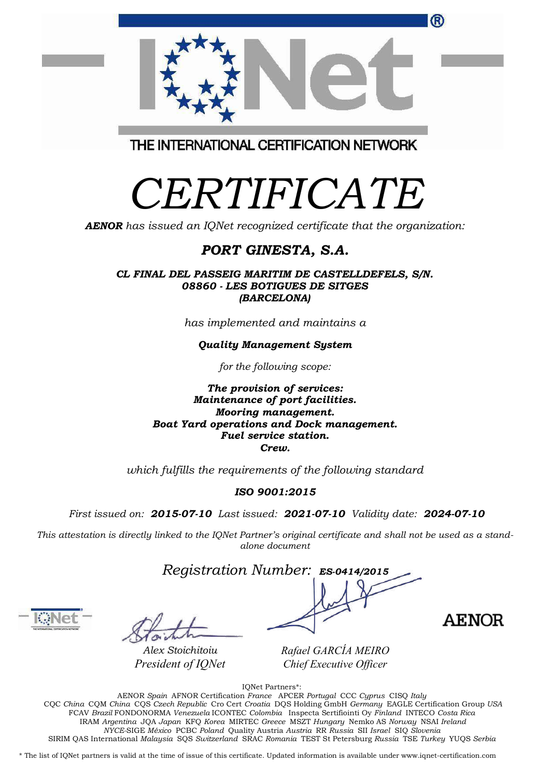| <b>Quality Management System</b>                                                                                                         |  |
|------------------------------------------------------------------------------------------------------------------------------------------|--|
| for the following scope:                                                                                                                 |  |
| The provision of services:<br>Maintenance of port facilities.<br><b>Mooring management.</b><br>Boat Yard operations and Dock management. |  |
| Fuel service station.                                                                                                                    |  |

Crew.

which fulfills the requirements of the following standard

#### ISO 9001:2015

First issued on: 2015-07-10 Last issued: 2021-07-10 Validity date: 2024-07-10

This attestation is directly linked to the IQNet Partner's original certificate and shall not be used as a standalone document

Registration Number: ES-0414/2015

**AENOR** 

*Rafael GARCÍA MEIRO Chief Executive Officer*

IQNet Partners\*:

AENOR Spain AFNOR Certification France APCER Portugal CCC Cyprus CISQ Italy CQC China CQM China CQS Czech Republic Cro Cert Croatia DQS Holding GmbH Germany EAGLE Certification Group USA FCAV Brazil FONDONORMA Venezuela ICONTEC Colombia Inspecta Sertifiointi Oy Finland INTECO Costa Rica IRAM Argentina JQA Japan KFQ Korea MIRTEC Greece MSZT Hungary Nemko AS Norway NSAI Ireland NYCE-SIGE México PCBC Poland Quality Austria Austria RR Russia SII Israel SIQ Slovenia SIRIM QAS International Malaysia SQS Switzerland SRAC Romania TEST St Petersburg Russia TSE Turkey YUQS Serbia

\* The list of IQNet partners is valid at the time of issue of this certificate. Updated information is available under www.iqnet-certification.com

Alex Stoichitoiu *President of IQNet*

(R)



CERTIFICATE

**AENOR** has issued an IQNet recognized certificate that the organization:

PORT GINESTA, S.A.

CL FINAL DEL PASSEIG MARITIM DE CASTELLDEFELS, S/N. 08860 - LES BOTIGUES DE SITGES (BARCELONA)

has implemented and maintains a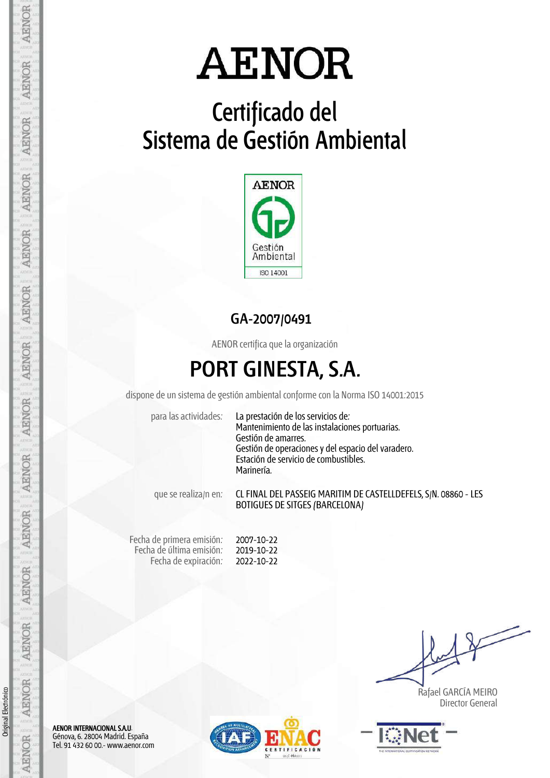# Certificado del Sistema de Gestión Ambiental



#### GA-2007/0491

AENOR certifica que la organización

## PORT GINESTA, S.A.

dispone de un sistema de gestión ambiental conforme con la Norma ISO 14001:2015

para las actividades: La prestación de los servicios de: Mantenimiento de las instalaciones portuarias. Gestión de amarres. Gestión de operaciones y del espacio del varadero. Estación de servicio de combustibles. Marinería.

que se realiza/n en: CL FINAL DEL PASSEIG MARITIM DE CASTELLDEFELS, S/N. 08860 - LES BOTIGUES DE SITGES (BARCELONA)

Fecha de primera emisión: Fecha de última emisión: Fecha de expiración: 2007-10-22 2019-10-22 2022-10-22

 Rafael GARCÍA MEIRO Director General



AENOR INTERNACIONAL S.A.U. Génova, 6. 28004 Madrid. España Tel. 91 432 60 00.- www.aenor.com



AENOR

**AENOR** 

AENOR

AENOR

**AENOR** 

AENOR

**AENOR** 

**AENOR** 

**AENOR** 

**AENOR** 

**AENOR** 

**AENOR** 

AENOR

**AENOR**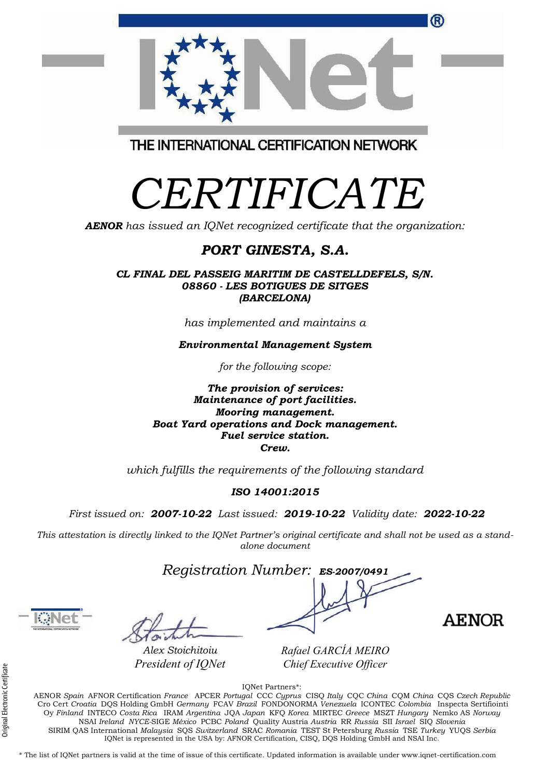| Oy Finland INTECO Costa Rica IRAM Argentina JOA Japan KFO Korea MIRTEC Greece MSZT Hungary Nemko AS Norway                                         |
|----------------------------------------------------------------------------------------------------------------------------------------------------|
| NSAI Ireland NYCE-SIGE México PCBC Poland Quality Austria Austria RR Russia SII Israel SIQ Slovenia                                                |
| SIRIM OAS International Malaysia SOS Switzerland SRAC Romania TEST St Petersburg Russia TSE Turkey YUOS Serbia                                     |
| IQNet is represented in the USA by: AFNOR Certification, CISQ, DQS Holding GmbH and NSAI Inc.                                                      |
|                                                                                                                                                    |
| * The list of IONet partners is valid at the time of issue of this certificate. Updated information is available under www.ignet-certification.com |
|                                                                                                                                                    |
|                                                                                                                                                    |

(R) THE INTERNATIONAL CERTIFICATION NETWORK

# CERTIFICATE

AENOR has issued an IQNet recognized certificate that the organization:

#### PORT GINESTA, S.A.

CL FINAL DEL PASSEIG MARITIM DE CASTELLDEFELS, S/N. 08860 - LES BOTIGUES DE SITGES (BARCELONA)

has implemented and maintains a

Environmental Management System

for the following scope:

The provision of services: Maintenance of port facilities. Mooring management. Boat Yard operations and Dock management. Fuel service station. Crew.

which fulfills the requirements of the following standard

#### ISO 14001:2015

First issued on: 2007-10-22 Last issued: 2019-10-22 Validity date: 2022-10-22

This attestation is directly linked to the IQNet Partner's original certificate and shall not be used as a standalone document

Registration Number: ES-2007/0491

Alex Stoichitoiu *President of IQNet*

*Rafael GARCÍA MEIRO Chief Executive Officer*

AENOR

IQNet Partners\*: AENOR Spain AFNOR Certification France APCER Portugal CCC Cyprus CISQ Italy CQC China CQM China CQS Czech Republic Cro Cert Croatia DQS Holding GmbH Germany FCAV Brazil FONDONORMA Venezuela ICONTEC Colombia Inspecta Sertifiointi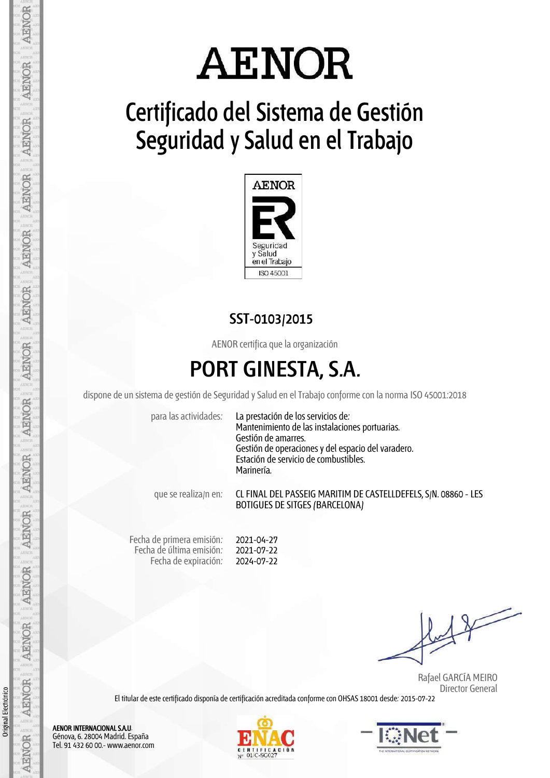# **AENOR**

# Certificado del Sistema de Gestión Seguridad y Salud en el Trabajo



#### SST-0103/2015

AENOR certifica que la organización

### PORT GINESTA, S.A.

dispone de un sistema de gestión de Seguridad y Salud en elTrabajo conforme con la norma ISO 45001:2018

para las actividades: La prestación de los servicios de: Mantenimiento de las instalaciones portuarias. Gestión de amarres. Gestión de operaciones y del espacio del varadero. Estación de servicio de combustibles. Marinería.

que se realiza/n en: CL FINAL DEL PASSEIG MARITIM DE CASTELLDEFELS, S/N. 08860 - LES BOTIGUES DE SITGES (BARCELONA)

Fecha de primera emisión: Fecha de última emisión: Fecha de expiración: 2021-04-27 2021-07-22 2024-07-22

 Rafael GARCÍA MEIRO Director General

El titular de este certificado disponía de certificación acreditada conforme con OHSAS 18001 desde: 2015-07-22





AENOR INTERNACIONAL S.A.U. Génova, 6. 28004 Madrid. España Tel. 91 432 60 00.- www.aenor.com

Original Electrónico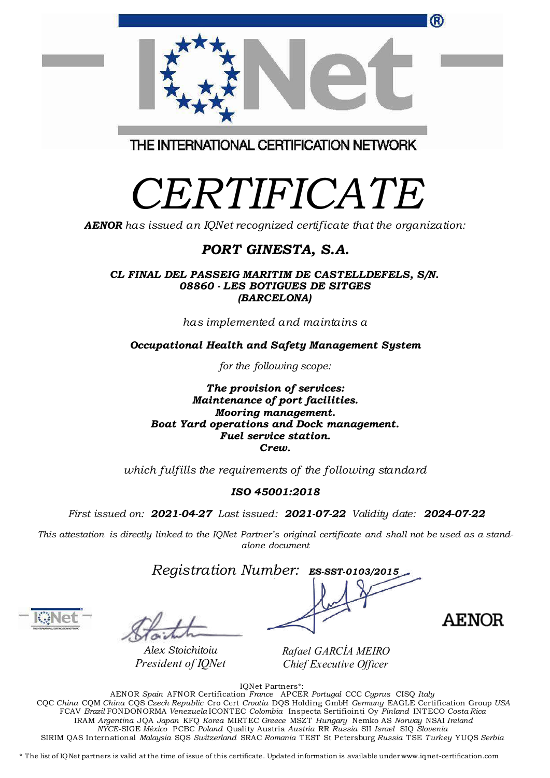| CL FINAL DEL PASSEIG MARITIM DE CASTELLDEFELS, S/N.<br>08860 - LES BOTIGUES DE SITGES<br>(BARCELONA) |  |
|------------------------------------------------------------------------------------------------------|--|
| has implemented and maintains a                                                                      |  |
| Occupational Health and Safety Management System                                                     |  |
| for the following scope:                                                                             |  |
|                                                                                                      |  |

CERTIFICATE

THE INTERNATIONAL CERTIFICATION NETWORK

**AENOR** has issued an IQNet recognized certificate that the organization:

PORT GINESTA, S.A.

The provision of services: Maintenance of port facilities. Mooring management. Boat Yard operations and Dock management. Fuel service station. Crew.

which fulfills the requirements of the following standard

#### ISO 45001:2018

First issued on: 2021-04-27 Last issued: 2021-07-22 Validity date: 2024-07-22

This attestation is directly linked to the IQNet Partner's original certificate and shall not be used as a standalone document

Registration Number: ES-SST-0103/2015

Alex Stoichitoiu *President of IQNet* *Rafael GARCÍA MEIRO Chief Executive Officer*

IQNet Partners\*: AENOR Spain AFNOR Certification France APCER Portugal CCC Cyprus CISQ Italy CQC China CQM China CQS Czech Republic Cro Cert Croatia DQS Holding GmbH Germany EAGLE Certification Group USA FCAV Brazil FONDONORMA Venezuela ICONTEC Colombia Inspecta Sertifiointi Oy Finland INTECO Costa Rica IRAM Argentina JQA Japan KFQ Korea MIRTEC Greece MSZT Hungary Nemko AS Norway NSAI Ireland NYCE-SIGE México PCBC Poland Quality Austria Austria RR Russia SII Israel SIQ Slovenia SIRIM QAS International Malaysia SQS Switzerland SRAC Romania TEST St Petersburg Russia TSE Turkey YUQS Serbia

\* The list of IQNet partners is valid at the time of issue of this certificate. Updated information is available under www.iqnet-certification.com

R

**AENOR**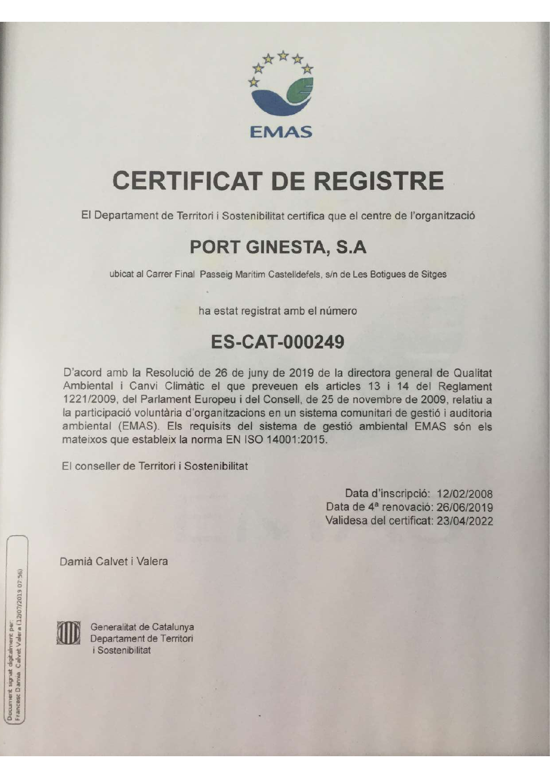

# **CERTIFICAT DE REGISTRE**

El Departament de Territori i Sostenibilitat certifica que el centre de l'organització

### PORT GINESTA, S.A

ubicat al Carrer Final Passeig Marítim Castelldefels, s/n de Les Botigues de Sitges

ha estat registrat amb el número

#### **ES-CAT-000249**

D'acord amb la Resolució de 26 de juny de 2019 de la directora general de Qualitat Ambiental i Canvi Climàtic el que preveuen els articles 13 i 14 del Reglament 1221/2009, del Parlament Europeu i del Consell, de 25 de novembre de 2009, relatiu a la participació voluntària d'organitzacions en un sistema comunitari de gestió i auditoria ambiental (EMAS). Els requisits del sistema de gestió ambiental EMAS són els mateixos que estableix la norma EN ISO 14001:2015.

El conseller de Territori i Sostenibilitat

Data d'inscripció: 12/02/2008 Data de 4ª renovació: 26/06/2019 Validesa del certificat: 23/04/2022

Damià Calvet i Valera



Generalitat de Catalunya Departament de Territori *i* Sostenibilitat